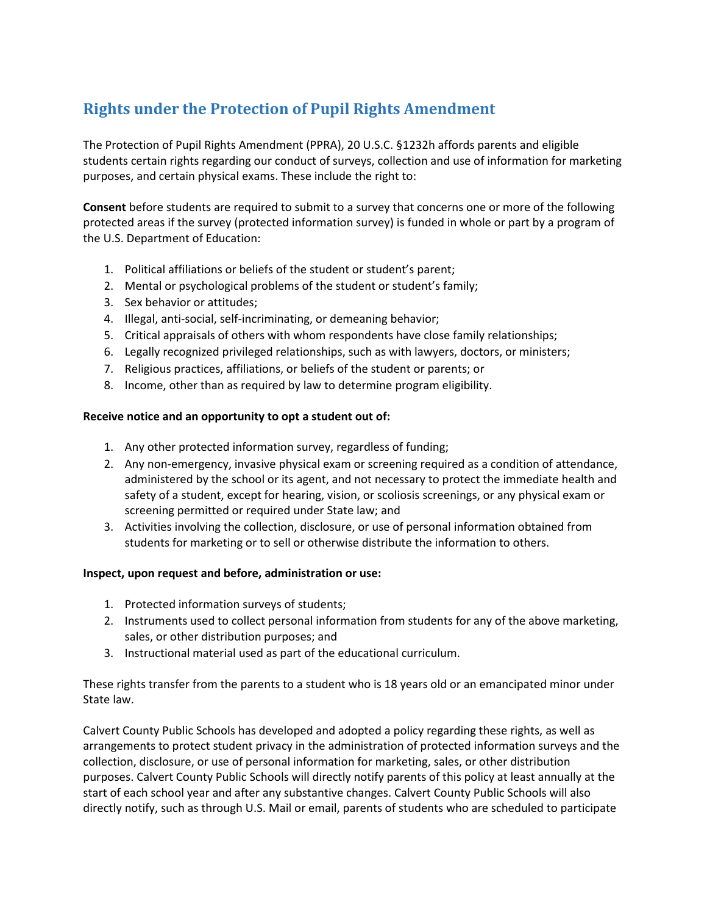## **Rights under the Protection of Pupil Rights Amendment**

The Protection of Pupil Rights Amendment (PPRA), 20 U.S.C. §1232h affords parents and eligible students certain rights regarding our conduct of surveys, collection and use of information for marketing purposes, and certain physical exams. These include the right to:

**Consent** before students are required to submit to a survey that concerns one or more of the following protected areas if the survey (protected information survey) is funded in whole or part by a program of the U.S. Department of Education:

- 1. Political affiliations or beliefs of the student or student's parent;
- 2. Mental or psychological problems of the student or student's family;
- 3. Sex behavior or attitudes;
- 4. Illegal, anti-social, self-incriminating, or demeaning behavior;
- 5. Critical appraisals of others with whom respondents have close family relationships;
- 6. Legally recognized privileged relationships, such as with lawyers, doctors, or ministers;
- 7. Religious practices, affiliations, or beliefs of the student or parents; or
- 8. Income, other than as required by law to determine program eligibility.

## **Receive notice and an opportunity to opt a student out of:**

- 1. Any other protected information survey, regardless of funding;
- 2. Any non-emergency, invasive physical exam or screening required as a condition of attendance, administered by the school or its agent, and not necessary to protect the immediate health and safety of a student, except for hearing, vision, or scoliosis screenings, or any physical exam or screening permitted or required under State law; and
- 3. Activities involving the collection, disclosure, or use of personal information obtained from students for marketing or to sell or otherwise distribute the information to others.

## **Inspect, upon request and before, administration or use:**

- 1. Protected information surveys of students;
- 2. Instruments used to collect personal information from students for any of the above marketing, sales, or other distribution purposes; and
- 3. Instructional material used as part of the educational curriculum.

These rights transfer from the parents to a student who is 18 years old or an emancipated minor under State law.

Calvert County Public Schools has developed and adopted a policy regarding these rights, as well as arrangements to protect student privacy in the administration of protected information surveys and the collection, disclosure, or use of personal information for marketing, sales, or other distribution purposes. Calvert County Public Schools will directly notify parents of this policy at least annually at the start of each school year and after any substantive changes. Calvert County Public Schools will also directly notify, such as through U.S. Mail or email, parents of students who are scheduled to participate